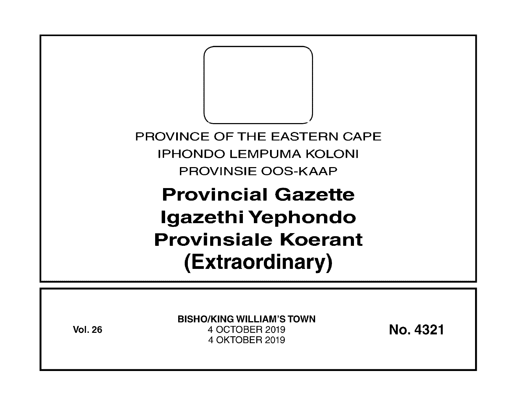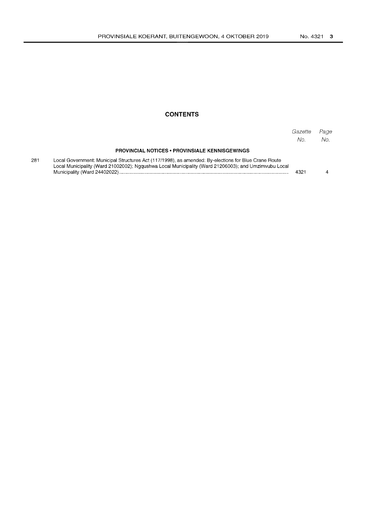## **CONTENTS**

|     |                                                                                                                                                                                                              | Gazette<br>No. | Page<br>No. |
|-----|--------------------------------------------------------------------------------------------------------------------------------------------------------------------------------------------------------------|----------------|-------------|
|     | <b>PROVINCIAL NOTICES • PROVINSIALE KENNISGEWINGS</b>                                                                                                                                                        |                |             |
| 281 | Local Government: Municipal Structures Act (117/1998), as amended: By-elections for Blue Crane Route<br>Local Municipality (Ward 21002002); Nggushwa Local Municipality (Ward 21206003); and Umzimyubu Local | 4321           |             |